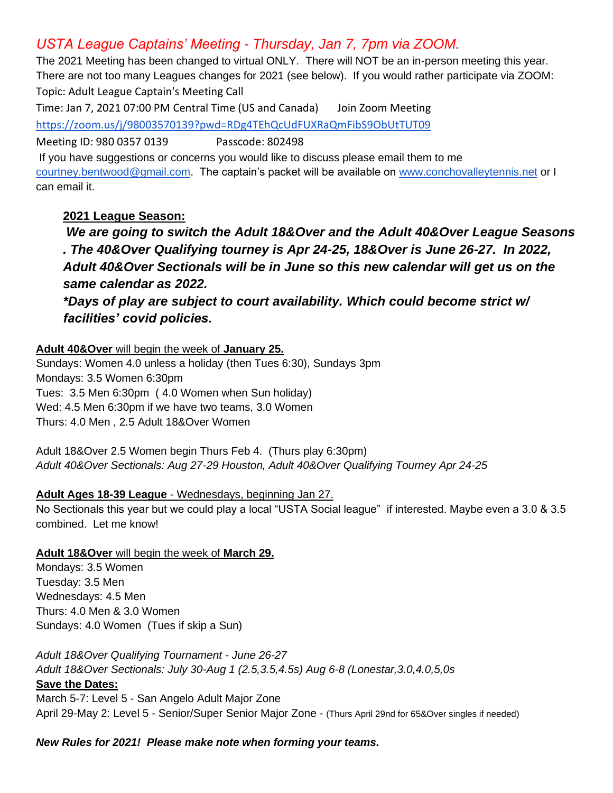# *USTA League Captains' Meeting - Thursday, Jan 7, 7pm via ZOOM.*

The 2021 Meeting has been changed to virtual ONLY. There will NOT be an in-person meeting this year. There are not too many Leagues changes for 2021 (see below). If you would rather participate via ZOOM: Topic: Adult League Captain's Meeting Call

Time: Jan 7, 2021 07:00 PM Central Time (US and Canada) Join Zoom Meeting <https://zoom.us/j/98003570139?pwd=RDg4TEhQcUdFUXRaQmFibS9ObUtTUT09>

Meeting ID: 980 0357 0139 Passcode: 802498

If you have suggestions or concerns you would like to discuss please email them to me [courtney.bentwood@gmail.com.](mailto:courtney.bentwood@gmail.com) The captain's packet will be available on [www.conchovalleytennis.net](http://www.conchovalleytennis.net/) or I can email it.

## **2021 League Season:**

*We are going to switch the Adult 18&Over and the Adult 40&Over League Seasons . The 40&Over Qualifying tourney is Apr 24-25, 18&Over is June 26-27. In 2022, Adult 40&Over Sectionals will be in June so this new calendar will get us on the same calendar as 2022.* 

*\*Days of play are subject to court availability. Which could become strict w/ facilities' covid policies.* 

**Adult 40&Over** will begin the week of **January 25.**

Sundays: Women 4.0 unless a holiday (then Tues 6:30), Sundays 3pm Mondays: 3.5 Women 6:30pm Tues: 3.5 Men 6:30pm ( 4.0 Women when Sun holiday) Wed: 4.5 Men 6:30pm if we have two teams, 3.0 Women Thurs: 4.0 Men , 2.5 Adult 18&Over Women

Adult 18&Over 2.5 Women begin Thurs Feb 4. (Thurs play 6:30pm) *Adult 40&Over Sectionals: Aug 27-29 Houston, Adult 40&Over Qualifying Tourney Apr 24-25*

#### **Adult Ages 18-39 League** - Wednesdays, beginning Jan 27.

No Sectionals this year but we could play a local "USTA Social league" if interested. Maybe even a 3.0 & 3.5 combined. Let me know!

#### **Adult 18&Over** will begin the week of **March 29.**

Mondays: 3.5 Women Tuesday: 3.5 Men Wednesdays: 4.5 Men Thurs: 4.0 Men & 3.0 Women Sundays: 4.0 Women (Tues if skip a Sun)

*Adult 18&Over Qualifying Tournament - June 26-27 Adult 18&Over Sectionals: July 30-Aug 1 (2.5,3.5,4.5s) Aug 6-8 (Lonestar,3.0,4.0,5,0s* **Save the Dates:** March 5-7: Level 5 - San Angelo Adult Major Zone April 29-May 2: Level 5 - Senior/Super Senior Major Zone - (Thurs April 29nd for 65&Over singles if needed)

#### *New Rules for 2021! Please make note when forming your teams.*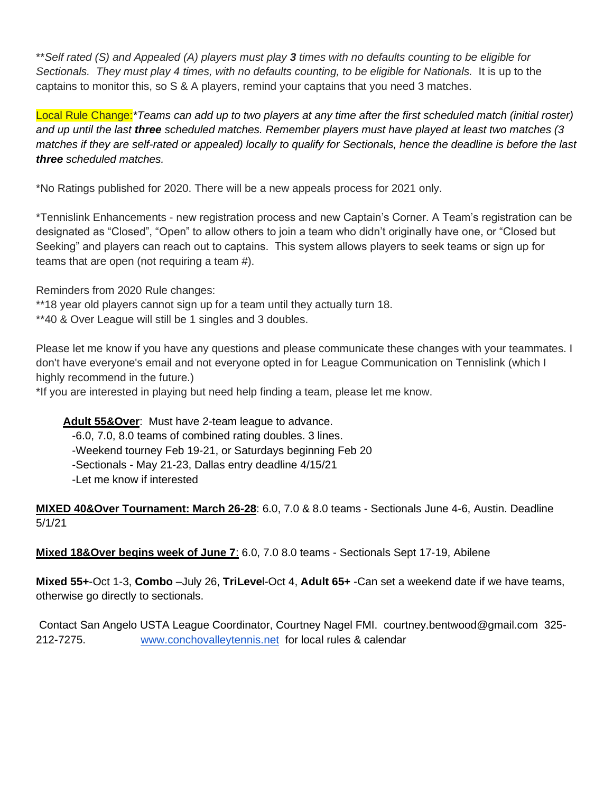\*\**Self rated (S) and Appealed (A) players must play 3 times with no defaults counting to be eligible for*  Sectionals. They must play 4 times, with no defaults counting, to be eligible for Nationals. It is up to the captains to monitor this, so S & A players, remind your captains that you need 3 matches.

Local Rule Change:*\*Teams can add up to two players at any time after the first scheduled match (initial roster) and up until the last three scheduled matches. Remember players must have played at least two matches (3 matches if they are self-rated or appealed) locally to qualify for Sectionals, hence the deadline is before the last three scheduled matches.*

\*No Ratings published for 2020. There will be a new appeals process for 2021 only.

\*Tennislink Enhancements - new registration process and new Captain's Corner. A Team's registration can be designated as "Closed", "Open" to allow others to join a team who didn't originally have one, or "Closed but Seeking" and players can reach out to captains. This system allows players to seek teams or sign up for teams that are open (not requiring a team #).

Reminders from 2020 Rule changes:

\*\*18 year old players cannot sign up for a team until they actually turn 18.

\*\*40 & Over League will still be 1 singles and 3 doubles.

Please let me know if you have any questions and please communicate these changes with your teammates. I don't have everyone's email and not everyone opted in for League Communication on Tennislink (which I highly recommend in the future.)

\*If you are interested in playing but need help finding a team, please let me know.

**Adult 55&Over**: Must have 2-team league to advance. -6.0, 7.0, 8.0 teams of combined rating doubles. 3 lines. -Weekend tourney Feb 19-21, or Saturdays beginning Feb 20 -Sectionals - May 21-23, Dallas entry deadline 4/15/21

-Let me know if interested

**MIXED 40&Over Tournament: March 26-28**: 6.0, 7.0 & 8.0 teams - Sectionals June 4-6, Austin. Deadline 5/1/21

**Mixed 18&Over begins week of June 7**: 6.0, 7.0 8.0 teams - Sectionals Sept 17-19, Abilene

**Mixed 55+**-Oct 1-3, **Combo** –July 26, **TriLeve**l-Oct 4, **Adult 65+** -Can set a weekend date if we have teams, otherwise go directly to sectionals.

Contact San Angelo USTA League Coordinator, Courtney Nagel FMI. courtney.bentwood@gmail.com 325- 212-7275. [www.conchovalleytennis.net](http://www.conchovalleytennis.net/) for local rules & calendar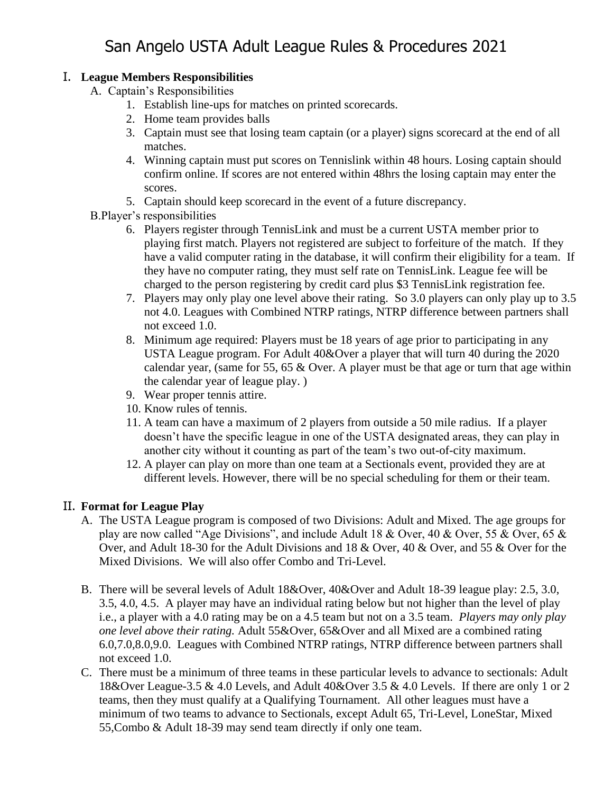## I. **League Members Responsibilities**

- A. Captain's Responsibilities
	- 1. Establish line-ups for matches on printed scorecards.
	- 2. Home team provides balls
	- 3. Captain must see that losing team captain (or a player) signs scorecard at the end of all matches.
	- 4. Winning captain must put scores on Tennislink within 48 hours. Losing captain should confirm online. If scores are not entered within 48hrs the losing captain may enter the scores.
	- 5. Captain should keep scorecard in the event of a future discrepancy.
- B.Player's responsibilities
	- 6. Players register through TennisLink and must be a current USTA member prior to playing first match. Players not registered are subject to forfeiture of the match. If they have a valid computer rating in the database, it will confirm their eligibility for a team. If they have no computer rating, they must self rate on TennisLink. League fee will be charged to the person registering by credit card plus \$3 TennisLink registration fee.
	- 7. Players may only play one level above their rating. So 3.0 players can only play up to 3.5 not 4.0. Leagues with Combined NTRP ratings, NTRP difference between partners shall not exceed 1.0.
	- 8. Minimum age required: Players must be 18 years of age prior to participating in any USTA League program. For Adult 40&Over a player that will turn 40 during the 2020 calendar year, (same for 55, 65  $&$  Over. A player must be that age or turn that age within the calendar year of league play. )
	- 9. Wear proper tennis attire.
	- 10. Know rules of tennis.
	- 11. A team can have a maximum of 2 players from outside a 50 mile radius. If a player doesn't have the specific league in one of the USTA designated areas, they can play in another city without it counting as part of the team's two out-of-city maximum.
	- 12. A player can play on more than one team at a Sectionals event, provided they are at different levels. However, there will be no special scheduling for them or their team.

## II. **Format for League Play**

- A. The USTA League program is composed of two Divisions: Adult and Mixed. The age groups for play are now called "Age Divisions", and include Adult 18 & Over, 40 & Over, 55 & Over, 65 & Over, and Adult 18-30 for the Adult Divisions and 18 & Over, 40 & Over, and 55 & Over for the Mixed Divisions. We will also offer Combo and Tri-Level.
- B. There will be several levels of Adult 18&Over, 40&Over and Adult 18-39 league play: 2.5, 3.0, 3.5, 4.0, 4.5. A player may have an individual rating below but not higher than the level of play i.e., a player with a 4.0 rating may be on a 4.5 team but not on a 3.5 team. *Players may only play one level above their rating.* Adult 55&Over, 65&Over and all Mixed are a combined rating 6.0,7.0,8.0,9.0. Leagues with Combined NTRP ratings, NTRP difference between partners shall not exceed 1.0.
- C. There must be a minimum of three teams in these particular levels to advance to sectionals: Adult 18&Over League-3.5 & 4.0 Levels, and Adult 40&Over 3.5 & 4.0 Levels. If there are only 1 or 2 teams, then they must qualify at a Qualifying Tournament. All other leagues must have a minimum of two teams to advance to Sectionals, except Adult 65, Tri-Level, LoneStar, Mixed 55,Combo & Adult 18-39 may send team directly if only one team.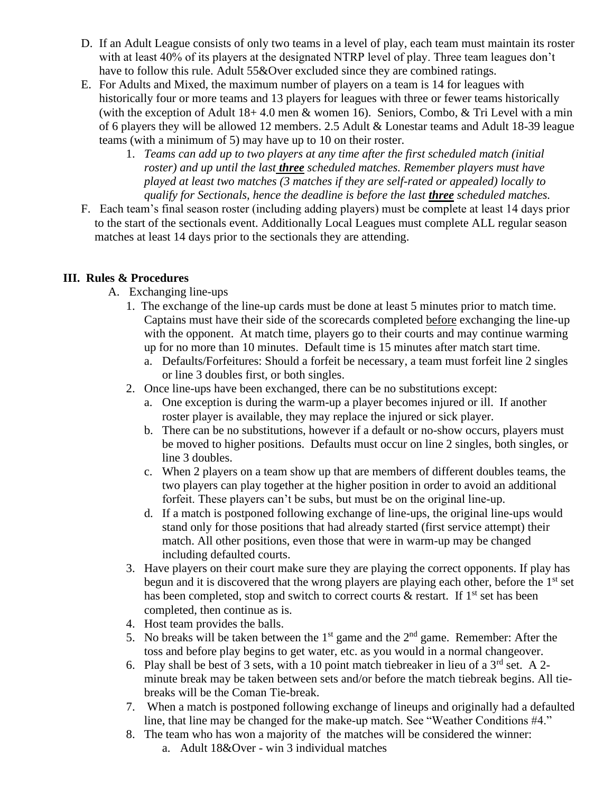- D. If an Adult League consists of only two teams in a level of play, each team must maintain its roster with at least 40% of its players at the designated NTRP level of play. Three team leagues don't have to follow this rule. Adult 55&Over excluded since they are combined ratings.
- E. For Adults and Mixed, the maximum number of players on a team is 14 for leagues with historically four or more teams and 13 players for leagues with three or fewer teams historically (with the exception of Adult  $18+4.0$  men  $\&$  women 16). Seniors, Combo,  $\&$  Tri Level with a min of 6 players they will be allowed 12 members. 2.5 Adult & Lonestar teams and Adult 18-39 league teams (with a minimum of 5) may have up to 10 on their roster.
	- 1. *Teams can add up to two players at any time after the first scheduled match (initial roster) and up until the last three scheduled matches. Remember players must have played at least two matches (3 matches if they are self-rated or appealed) locally to qualify for Sectionals, hence the deadline is before the last three scheduled matches.*
- F. Each team's final season roster (including adding players) must be complete at least 14 days prior to the start of the sectionals event. Additionally Local Leagues must complete ALL regular season matches at least 14 days prior to the sectionals they are attending.

#### **III. Rules & Procedures**

- A. Exchanging line-ups
	- 1. The exchange of the line-up cards must be done at least 5 minutes prior to match time. Captains must have their side of the scorecards completed before exchanging the line-up with the opponent. At match time, players go to their courts and may continue warming up for no more than 10 minutes. Default time is 15 minutes after match start time.
		- a. Defaults/Forfeitures: Should a forfeit be necessary, a team must forfeit line 2 singles or line 3 doubles first, or both singles.
	- 2. Once line-ups have been exchanged, there can be no substitutions except:
		- a. One exception is during the warm-up a player becomes injured or ill. If another roster player is available, they may replace the injured or sick player.
		- b. There can be no substitutions, however if a default or no-show occurs, players must be moved to higher positions. Defaults must occur on line 2 singles, both singles, or line 3 doubles.
		- c. When 2 players on a team show up that are members of different doubles teams, the two players can play together at the higher position in order to avoid an additional forfeit. These players can't be subs, but must be on the original line-up.
		- d. If a match is postponed following exchange of line-ups, the original line-ups would stand only for those positions that had already started (first service attempt) their match. All other positions, even those that were in warm-up may be changed including defaulted courts.
	- 3. Have players on their court make sure they are playing the correct opponents. If play has begun and it is discovered that the wrong players are playing each other, before the 1<sup>st</sup> set has been completed, stop and switch to correct courts  $\&$  restart. If 1<sup>st</sup> set has been completed, then continue as is.
	- 4. Host team provides the balls.
	- 5. No breaks will be taken between the  $1<sup>st</sup>$  game and the  $2<sup>nd</sup>$  game. Remember: After the toss and before play begins to get water, etc. as you would in a normal changeover.
	- 6. Play shall be best of 3 sets, with a 10 point match tiebreaker in lieu of a  $3<sup>rd</sup>$  set. A 2minute break may be taken between sets and/or before the match tiebreak begins. All tiebreaks will be the Coman Tie-break.
	- 7. When a match is postponed following exchange of lineups and originally had a defaulted line, that line may be changed for the make-up match. See "Weather Conditions #4."
	- 8. The team who has won a majority of the matches will be considered the winner:
		- a. Adult 18&Over win 3 individual matches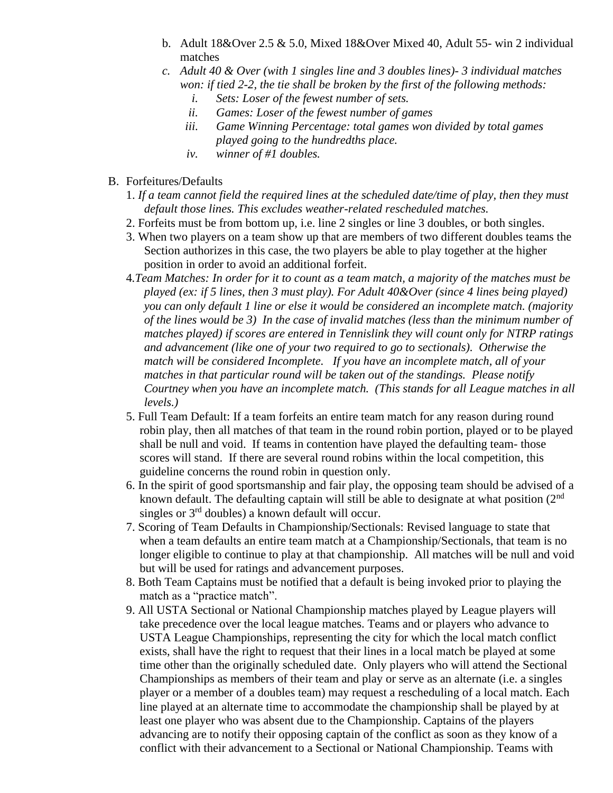- b. Adult 18&Over 2.5 & 5.0, Mixed 18&Over Mixed 40, Adult 55- win 2 individual matches
- *c. Adult 40 & Over (with 1 singles line and 3 doubles lines)- 3 individual matches won: if tied 2-2, the tie shall be broken by the first of the following methods:*
	- *i. Sets: Loser of the fewest number of sets.*
	- *ii. Games: Loser of the fewest number of games*
	- *iii. Game Winning Percentage: total games won divided by total games played going to the hundredths place.*
	- *iv. winner of #1 doubles.*
- B. Forfeitures/Defaults
	- 1. *If a team cannot field the required lines at the scheduled date/time of play, then they must default those lines. This excludes weather-related rescheduled matches.*
	- 2. Forfeits must be from bottom up, i.e. line 2 singles or line 3 doubles, or both singles.
	- 3. When two players on a team show up that are members of two different doubles teams the Section authorizes in this case, the two players be able to play together at the higher position in order to avoid an additional forfeit.
	- 4*.Team Matches: In order for it to count as a team match, a majority of the matches must be played (ex: if 5 lines, then 3 must play). For Adult 40&Over (since 4 lines being played) you can only default 1 line or else it would be considered an incomplete match. (majority of the lines would be 3) In the case of invalid matches (less than the minimum number of matches played) if scores are entered in Tennislink they will count only for NTRP ratings and advancement (like one of your two required to go to sectionals). Otherwise the match will be considered Incomplete. If you have an incomplete match, all of your matches in that particular round will be taken out of the standings. Please notify Courtney when you have an incomplete match. (This stands for all League matches in all levels.)*
	- 5. Full Team Default: If a team forfeits an entire team match for any reason during round robin play, then all matches of that team in the round robin portion, played or to be played shall be null and void. If teams in contention have played the defaulting team- those scores will stand. If there are several round robins within the local competition, this guideline concerns the round robin in question only.
	- 6. In the spirit of good sportsmanship and fair play, the opposing team should be advised of a known default. The defaulting captain will still be able to designate at what position (2<sup>nd</sup>) singles or  $3<sup>rd</sup>$  doubles) a known default will occur.
	- 7. Scoring of Team Defaults in Championship/Sectionals: Revised language to state that when a team defaults an entire team match at a Championship/Sectionals, that team is no longer eligible to continue to play at that championship. All matches will be null and void but will be used for ratings and advancement purposes.
	- 8. Both Team Captains must be notified that a default is being invoked prior to playing the match as a "practice match".
	- 9. All USTA Sectional or National Championship matches played by League players will take precedence over the local league matches. Teams and or players who advance to USTA League Championships, representing the city for which the local match conflict exists, shall have the right to request that their lines in a local match be played at some time other than the originally scheduled date. Only players who will attend the Sectional Championships as members of their team and play or serve as an alternate (i.e. a singles player or a member of a doubles team) may request a rescheduling of a local match. Each line played at an alternate time to accommodate the championship shall be played by at least one player who was absent due to the Championship. Captains of the players advancing are to notify their opposing captain of the conflict as soon as they know of a conflict with their advancement to a Sectional or National Championship. Teams with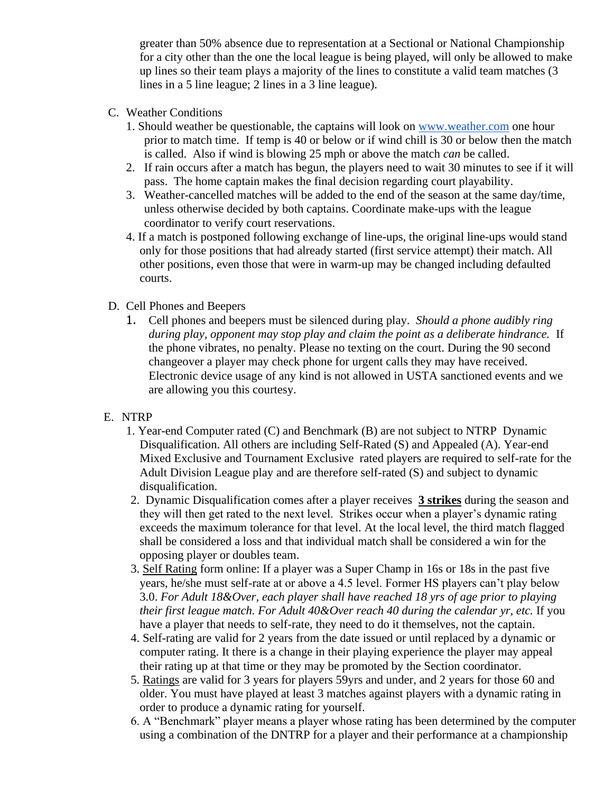greater than 50% absence due to representation at a Sectional or National Championship for a city other than the one the local league is being played, will only be allowed to make up lines so their team plays a majority of the lines to constitute a valid team matches (3 lines in a 5 line league; 2 lines in a 3 line league).

- C. Weather Conditions
	- 1. Should weather be questionable, the captains will look on [www.weather.com](http://www.weather.com/) one hour prior to match time. If temp is 40 or below or if wind chill is 30 or below then the match is called. Also if wind is blowing 25 mph or above the match *can* be called.
	- 2. If rain occurs after a match has begun, the players need to wait 30 minutes to see if it will pass. The home captain makes the final decision regarding court playability.
	- 3. Weather-cancelled matches will be added to the end of the season at the same day/time, unless otherwise decided by both captains. Coordinate make-ups with the league coordinator to verify court reservations.
	- 4. If a match is postponed following exchange of line-ups, the original line-ups would stand only for those positions that had already started (first service attempt) their match. All other positions, even those that were in warm-up may be changed including defaulted courts.
- D. Cell Phones and Beepers
	- 1. Cell phones and beepers must be silenced during play. *Should a phone audibly ring during play, opponent may stop play and claim the point as a deliberate hindrance.* If the phone vibrates, no penalty. Please no texting on the court. During the 90 second changeover a player may check phone for urgent calls they may have received. Electronic device usage of any kind is not allowed in USTA sanctioned events and we are allowing you this courtesy.
- E. NTRP
	- 1. Year-end Computer rated (C) and Benchmark (B) are not subject to NTRP Dynamic Disqualification. All others are including Self-Rated (S) and Appealed (A). Year-end Mixed Exclusive and Tournament Exclusive rated players are required to self-rate for the Adult Division League play and are therefore self-rated (S) and subject to dynamic disqualification.
	- 2. Dynamic Disqualification comes after a player receives **3 strikes** during the season and they will then get rated to the next level. Strikes occur when a player's dynamic rating exceeds the maximum tolerance for that level. At the local level, the third match flagged shall be considered a loss and that individual match shall be considered a win for the opposing player or doubles team.
	- 3. Self Rating form online: If a player was a Super Champ in 16s or 18s in the past five years, he/she must self-rate at or above a 4.5 level. Former HS players can't play below 3.0. *For Adult 18&Over, each player shall have reached 18 yrs of age prior to playing their first league match. For Adult 40&Over reach 40 during the calendar yr, etc.* If you have a player that needs to self-rate, they need to do it themselves, not the captain.
	- 4. Self-rating are valid for 2 years from the date issued or until replaced by a dynamic or computer rating. It there is a change in their playing experience the player may appeal their rating up at that time or they may be promoted by the Section coordinator.
	- 5. Ratings are valid for 3 years for players 59yrs and under, and 2 years for those 60 and older. You must have played at least 3 matches against players with a dynamic rating in order to produce a dynamic rating for yourself.
	- 6. A "Benchmark" player means a player whose rating has been determined by the computer using a combination of the DNTRP for a player and their performance at a championship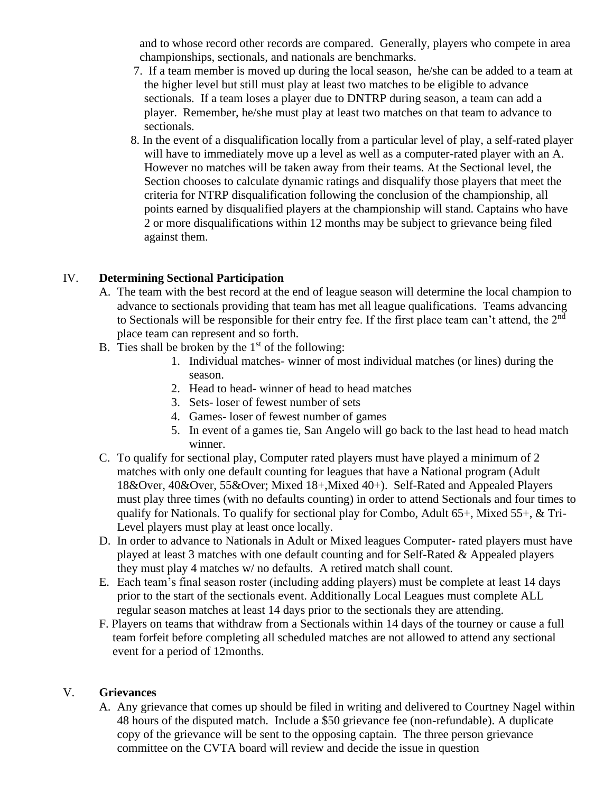and to whose record other records are compared. Generally, players who compete in area championships, sectionals, and nationals are benchmarks.

- 7. If a team member is moved up during the local season, he/she can be added to a team at the higher level but still must play at least two matches to be eligible to advance sectionals. If a team loses a player due to DNTRP during season, a team can add a player. Remember, he/she must play at least two matches on that team to advance to sectionals.
- 8. In the event of a disqualification locally from a particular level of play, a self-rated player will have to immediately move up a level as well as a computer-rated player with an A. However no matches will be taken away from their teams. At the Sectional level, the Section chooses to calculate dynamic ratings and disqualify those players that meet the criteria for NTRP disqualification following the conclusion of the championship, all points earned by disqualified players at the championship will stand. Captains who have 2 or more disqualifications within 12 months may be subject to grievance being filed against them.

#### IV. **Determining Sectional Participation**

- A. The team with the best record at the end of league season will determine the local champion to advance to sectionals providing that team has met all league qualifications. Teams advancing to Sectionals will be responsible for their entry fee. If the first place team can't attend, the 2<sup>nd</sup> place team can represent and so forth.
- B. Ties shall be broken by the  $1<sup>st</sup>$  of the following:
	- 1. Individual matches- winner of most individual matches (or lines) during the season.
	- 2. Head to head- winner of head to head matches
	- 3. Sets- loser of fewest number of sets
	- 4. Games- loser of fewest number of games
	- 5. In event of a games tie, San Angelo will go back to the last head to head match winner.
- C. To qualify for sectional play, Computer rated players must have played a minimum of 2 matches with only one default counting for leagues that have a National program (Adult 18&Over, 40&Over, 55&Over; Mixed 18+,Mixed 40+). Self-Rated and Appealed Players must play three times (with no defaults counting) in order to attend Sectionals and four times to qualify for Nationals. To qualify for sectional play for Combo, Adult 65+, Mixed 55+, & Tri-Level players must play at least once locally.
- D. In order to advance to Nationals in Adult or Mixed leagues Computer- rated players must have played at least 3 matches with one default counting and for Self-Rated & Appealed players they must play 4 matches w/ no defaults. A retired match shall count.
- E. Each team's final season roster (including adding players) must be complete at least 14 days prior to the start of the sectionals event. Additionally Local Leagues must complete ALL regular season matches at least 14 days prior to the sectionals they are attending.
- F. Players on teams that withdraw from a Sectionals within 14 days of the tourney or cause a full team forfeit before completing all scheduled matches are not allowed to attend any sectional event for a period of 12months.

#### V. **Grievances**

A. Any grievance that comes up should be filed in writing and delivered to Courtney Nagel within 48 hours of the disputed match. Include a \$50 grievance fee (non-refundable). A duplicate copy of the grievance will be sent to the opposing captain. The three person grievance committee on the CVTA board will review and decide the issue in question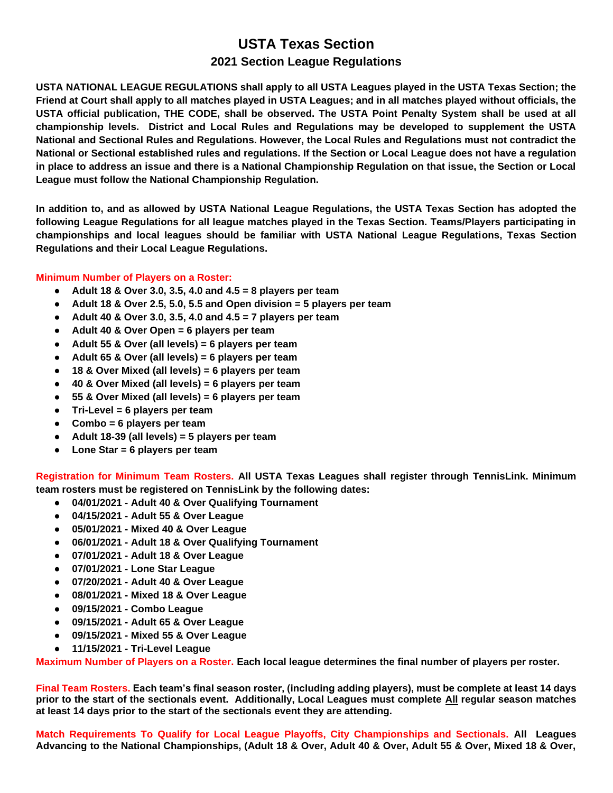## **USTA Texas Section 2021 Section League Regulations**

**USTA NATIONAL LEAGUE REGULATIONS shall apply to all USTA Leagues played in the USTA Texas Section; the Friend at Court shall apply to all matches played in USTA Leagues; and in all matches played without officials, the USTA official publication, THE CODE, shall be observed. The USTA Point Penalty System shall be used at all championship levels. District and Local Rules and Regulations may be developed to supplement the USTA National and Sectional Rules and Regulations. However, the Local Rules and Regulations must not contradict the National or Sectional established rules and regulations. If the Section or Local League does not have a regulation in place to address an issue and there is a National Championship Regulation on that issue, the Section or Local League must follow the National Championship Regulation.**

**In addition to, and as allowed by USTA National League Regulations, the USTA Texas Section has adopted the following League Regulations for all league matches played in the Texas Section. Teams/Players participating in championships and local leagues should be familiar with USTA National League Regulations, Texas Section Regulations and their Local League Regulations.**

#### **Minimum Number of Players on a Roster:**

- **Adult 18 & Over 3.0, 3.5, 4.0 and 4.5 = 8 players per team**
- **Adult 18 & Over 2.5, 5.0, 5.5 and Open division = 5 players per team**
- **Adult 40 & Over 3.0, 3.5, 4.0 and 4.5 = 7 players per team**
- **Adult 40 & Over Open = 6 players per team**
- **Adult 55 & Over (all levels) = 6 players per team**
- **Adult 65 & Over (all levels) = 6 players per team**
- **18 & Over Mixed (all levels) = 6 players per team**
- **40 & Over Mixed (all levels) = 6 players per team**
- **55 & Over Mixed (all levels) = 6 players per team**
- **Tri-Level = 6 players per team**
- **Combo = 6 players per team**
- **Adult 18-39 (all levels) = 5 players per team**
- **Lone Star = 6 players per team**

**Registration for Minimum Team Rosters. All USTA Texas Leagues shall register through TennisLink. Minimum team rosters must be registered on TennisLink by the following dates:**

- **04/01/2021 - Adult 40 & Over Qualifying Tournament**
- **04/15/2021 - Adult 55 & Over League**
- **05/01/2021 - Mixed 40 & Over League**
- **06/01/2021 - Adult 18 & Over Qualifying Tournament**
- **07/01/2021 - Adult 18 & Over League**
- **07/01/2021 - Lone Star League**
- **07/20/2021 - Adult 40 & Over League**
- **08/01/2021 - Mixed 18 & Over League**
- **09/15/2021 - Combo League**
- **09/15/2021 - Adult 65 & Over League**
- **09/15/2021 - Mixed 55 & Over League**
- **11/15/2021 - Tri-Level League**

**Maximum Number of Players on a Roster. Each local league determines the final number of players per roster.** 

**Final Team Rosters. Each team's final season roster, (including adding players), must be complete at least 14 days prior to the start of the sectionals event. Additionally, Local Leagues must complete All regular season matches at least 14 days prior to the start of the sectionals event they are attending.**

**Match Requirements To Qualify for Local League Playoffs, City Championships and Sectionals. All Leagues Advancing to the National Championships, (Adult 18 & Over, Adult 40 & Over, Adult 55 & Over, Mixed 18 & Over,**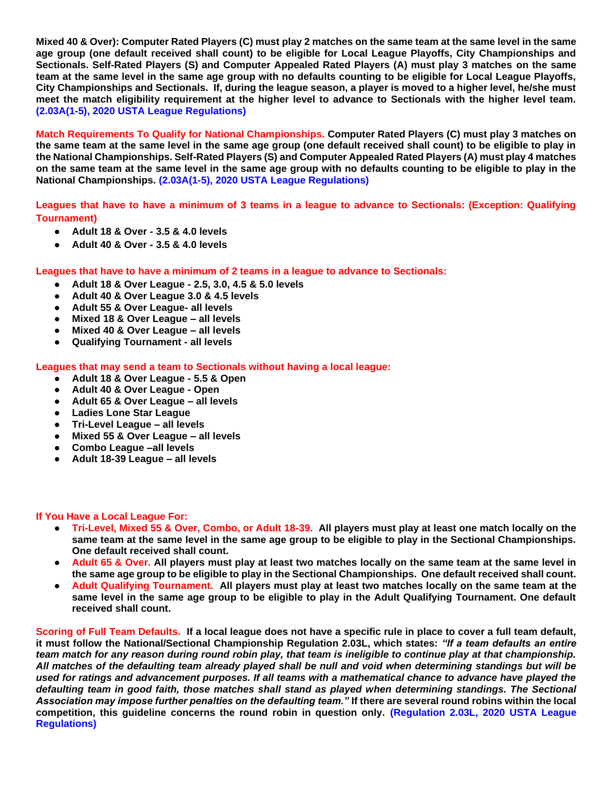**Mixed 40 & Over): Computer Rated Players (C) must play 2 matches on the same team at the same level in the same age group (one default received shall count) to be eligible for Local League Playoffs, City Championships and Sectionals. Self-Rated Players (S) and Computer Appealed Rated Players (A) must play 3 matches on the same team at the same level in the same age group with no defaults counting to be eligible for Local League Playoffs, City Championships and Sectionals. If, during the league season, a player is moved to a higher level, he/she must meet the match eligibility requirement at the higher level to advance to Sectionals with the higher level team. (2.03A(1-5), 2020 USTA League Regulations)**

**Match Requirements To Qualify for National Championships. Computer Rated Players (C) must play 3 matches on the same team at the same level in the same age group (one default received shall count) to be eligible to play in the National Championships. Self-Rated Players (S) and Computer Appealed Rated Players (A) must play 4 matches on the same team at the same level in the same age group with no defaults counting to be eligible to play in the National Championships. (2.03A(1-5), 2020 USTA League Regulations)**

**Leagues that have to have a minimum of 3 teams in a league to advance to Sectionals: (Exception: Qualifying Tournament)**

- **Adult 18 & Over - 3.5 & 4.0 levels**
- **Adult 40 & Over - 3.5 & 4.0 levels**

**Leagues that have to have a minimum of 2 teams in a league to advance to Sectionals:**

- **Adult 18 & Over League - 2.5, 3.0, 4.5 & 5.0 levels**
- **Adult 40 & Over League 3.0 & 4.5 levels**
- **Adult 55 & Over League- all levels**
- **Mixed 18 & Over League – all levels**
- **Mixed 40 & Over League – all levels**
- **Qualifying Tournament - all levels**

#### **Leagues that may send a team to Sectionals without having a local league:**

- **Adult 18 & Over League - 5.5 & Open**
- **Adult 40 & Over League - Open**
- **Adult 65 & Over League – all levels**
- **Ladies Lone Star League**
- **Tri-Level League – all levels**
- **Mixed 55 & Over League – all levels**
- **Combo League –all levels**
- **Adult 18-39 League – all levels**

#### **If You Have a Local League For:**

- **Tri-Level, Mixed 55 & Over, Combo, or Adult 18-39. All players must play at least one match locally on the same team at the same level in the same age group to be eligible to play in the Sectional Championships. One default received shall count.**
- **Adult 65 & Over. All players must play at least two matches locally on the same team at the same level in the same age group to be eligible to play in the Sectional Championships. One default received shall count.**
- **Adult Qualifying Tournament. All players must play at least two matches locally on the same team at the same level in the same age group to be eligible to play in the Adult Qualifying Tournament. One default received shall count.**

**Scoring of Full Team Defaults. If a local league does not have a specific rule in place to cover a full team default, it must follow the National/Sectional Championship Regulation 2.03L, which states:** *"If a team defaults an entire team match for any reason during round robin play, that team is ineligible to continue play at that championship. All matches of the defaulting team already played shall be null and void when determining standings but will be used for ratings and advancement purposes. If all teams with a mathematical chance to advance have played the*  defaulting team in good faith, those matches shall stand as played when determining standings. The Sectional *Association may impose further penalties on the defaulting team."* **If there are several round robins within the local competition, this guideline concerns the round robin in question only. (Regulation 2.03L, 2020 USTA League Regulations)**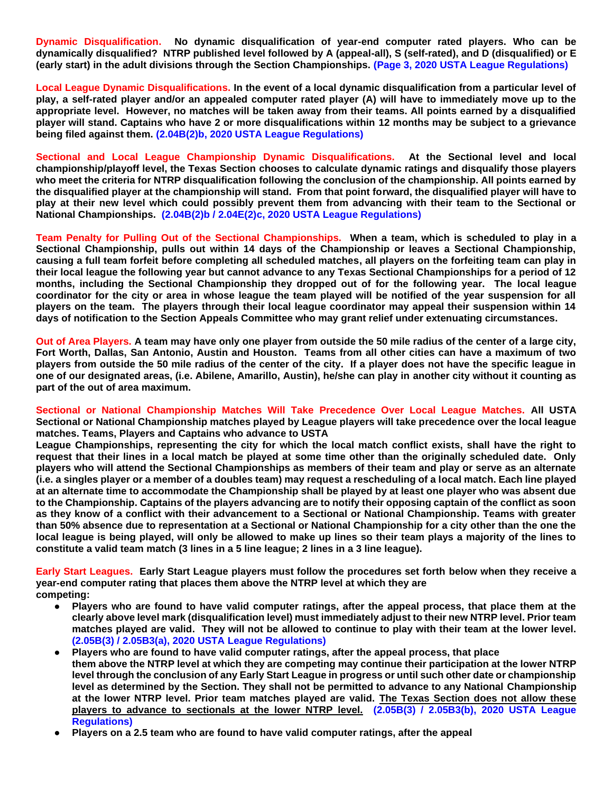**Dynamic Disqualification. No dynamic disqualification of year-end computer rated players. Who can be dynamically disqualified? NTRP published level followed by A (appeal-all), S (self-rated), and D (disqualified) or E (early start) in the adult divisions through the Section Championships. (Page 3, 2020 USTA League Regulations)** 

**Local League Dynamic Disqualifications. In the event of a local dynamic disqualification from a particular level of play, a self-rated player and/or an appealed computer rated player (A) will have to immediately move up to the appropriate level. However, no matches will be taken away from their teams. All points earned by a disqualified player will stand. Captains who have 2 or more disqualifications within 12 months may be subject to a grievance being filed against them. (2.04B(2)b, 2020 USTA League Regulations)**

**Sectional and Local League Championship Dynamic Disqualifications. At the Sectional level and local championship/playoff level, the Texas Section chooses to calculate dynamic ratings and disqualify those players who meet the criteria for NTRP disqualification following the conclusion of the championship. All points earned by the disqualified player at the championship will stand. From that point forward, the disqualified player will have to play at their new level which could possibly prevent them from advancing with their team to the Sectional or National Championships. (2.04B(2)b / 2.04E(2)c, 2020 USTA League Regulations)**

**Team Penalty for Pulling Out of the Sectional Championships. When a team, which is scheduled to play in a Sectional Championship, pulls out within 14 days of the Championship or leaves a Sectional Championship, causing a full team forfeit before completing all scheduled matches, all players on the forfeiting team can play in their local league the following year but cannot advance to any Texas Sectional Championships for a period of 12 months, including the Sectional Championship they dropped out of for the following year. The local league coordinator for the city or area in whose league the team played will be notified of the year suspension for all players on the team. The players through their local league coordinator may appeal their suspension within 14 days of notification to the Section Appeals Committee who may grant relief under extenuating circumstances.**

**Out of Area Players. A team may have only one player from outside the 50 mile radius of the center of a large city, Fort Worth, Dallas, San Antonio, Austin and Houston. Teams from all other cities can have a maximum of two players from outside the 50 mile radius of the center of the city. If a player does not have the specific league in one of our designated areas, (i.e. Abilene, Amarillo, Austin), he/she can play in another city without it counting as part of the out of area maximum.**

**Sectional or National Championship Matches Will Take Precedence Over Local League Matches. All USTA Sectional or National Championship matches played by League players will take precedence over the local league matches. Teams, Players and Captains who advance to USTA**

**League Championships, representing the city for which the local match conflict exists, shall have the right to request that their lines in a local match be played at some time other than the originally scheduled date. Only players who will attend the Sectional Championships as members of their team and play or serve as an alternate (i.e. a singles player or a member of a doubles team) may request a rescheduling of a local match. Each line played at an alternate time to accommodate the Championship shall be played by at least one player who was absent due to the Championship. Captains of the players advancing are to notify their opposing captain of the conflict as soon as they know of a conflict with their advancement to a Sectional or National Championship. Teams with greater than 50% absence due to representation at a Sectional or National Championship for a city other than the one the local league is being played, will only be allowed to make up lines so their team plays a majority of the lines to constitute a valid team match (3 lines in a 5 line league; 2 lines in a 3 line league).**

**Early Start Leagues. Early Start League players must follow the procedures set forth below when they receive a year-end computer rating that places them above the NTRP level at which they are competing:**

- **Players who are found to have valid computer ratings, after the appeal process, that place them at the clearly above level mark (disqualification level) must immediately adjust to their new NTRP level. Prior team matches played are valid. They will not be allowed to continue to play with their team at the lower level. (2.05B(3) / 2.05B3(a), 2020 USTA League Regulations)**
- **Players who are found to have valid computer ratings, after the appeal process, that place them above the NTRP level at which they are competing may continue their participation at the lower NTRP level through the conclusion of any Early Start League in progress or until such other date or championship level as determined by the Section. They shall not be permitted to advance to any National Championship at the lower NTRP level. Prior team matches played are valid. The Texas Section does not allow these players to advance to sectionals at the lower NTRP level. (2.05B(3) / 2.05B3(b), 2020 USTA League Regulations)**
- **Players on a 2.5 team who are found to have valid computer ratings, after the appeal**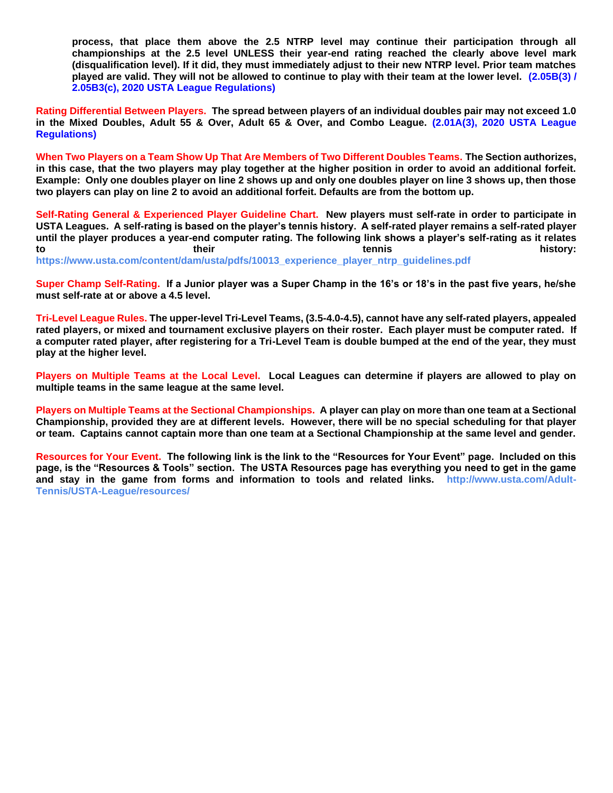**process, that place them above the 2.5 NTRP level may continue their participation through all championships at the 2.5 level UNLESS their year-end rating reached the clearly above level mark (disqualification level). If it did, they must immediately adjust to their new NTRP level. Prior team matches played are valid. They will not be allowed to continue to play with their team at the lower level. (2.05B(3) / 2.05B3(c), 2020 USTA League Regulations)**

**Rating Differential Between Players. The spread between players of an individual doubles pair may not exceed 1.0 in the Mixed Doubles, Adult 55 & Over, Adult 65 & Over, and Combo League. (2.01A(3), 2020 USTA League Regulations)**

**When Two Players on a Team Show Up That Are Members of Two Different Doubles Teams. The Section authorizes, in this case, that the two players may play together at the higher position in order to avoid an additional forfeit. Example: Only one doubles player on line 2 shows up and only one doubles player on line 3 shows up, then those two players can play on line 2 to avoid an additional forfeit. Defaults are from the bottom up.**

**Self-Rating General & Experienced Player Guideline Chart. New players must self-rate in order to participate in USTA Leagues. A self-rating is based on the player's tennis history. A self-rated player remains a self-rated player until the player produces a year-end computer rating. The following link shows a player's self-rating as it relates to their tennis history:** 

**https://www.usta.com/content/dam/usta/pdfs/10013\_experience\_player\_ntrp\_guidelines.pdf**

**Super Champ Self-Rating. If a Junior player was a Super Champ in the 16's or 18's in the past five years, he/she must self-rate at or above a 4.5 level.** 

**Tri-Level League Rules. The upper-level Tri-Level Teams, (3.5-4.0-4.5), cannot have any self-rated players, appealed rated players, or mixed and tournament exclusive players on their roster. Each player must be computer rated. If a computer rated player, after registering for a Tri-Level Team is double bumped at the end of the year, they must play at the higher level.**

**Players on Multiple Teams at the Local Level. Local Leagues can determine if players are allowed to play on multiple teams in the same league at the same level.**

**Players on Multiple Teams at the Sectional Championships. A player can play on more than one team at a Sectional Championship, provided they are at different levels. However, there will be no special scheduling for that player or team. Captains cannot captain more than one team at a Sectional Championship at the same level and gender.**

**Resources for Your Event. The following link is the link to the "Resources for Your Event" page. Included on this page, is the "Resources & Tools" section. The USTA Resources page has everything you need to get in the game and stay in the game from forms and information to tools and related links. http://www.usta.com/Adult-Tennis/USTA-League/resources/**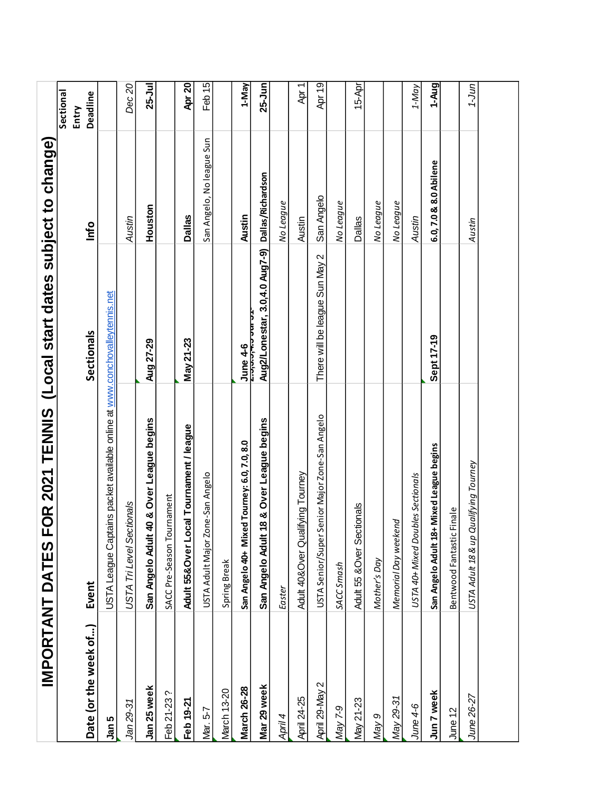|                       | IMPORTANT DATES                                                            | FOR 2021 TENNIS (Local start dates subject to change) |                           |                    |
|-----------------------|----------------------------------------------------------------------------|-------------------------------------------------------|---------------------------|--------------------|
|                       |                                                                            |                                                       |                           | Sectional<br>Entry |
| Date (or the week of) | Event                                                                      | Sectionals                                            | <b>o</b>                  | Deadline           |
| Jan 5                 | USTA League Captains packet available online at www.conchovalleytennis.net |                                                       |                           |                    |
| Jan 29-31             | USTA Tri Level Sectionals                                                  |                                                       | Austin                    | Dec 20             |
| Jan 25 week           | San Angelo Adult 40 & Over League begins                                   | Aug 27-29                                             | Houston                   | $25 -$ Jul         |
| Feb 21-23?            | SACC Pre-Season Tournament                                                 |                                                       |                           |                    |
| Feb 19-21             | Adult 55&Over Local Tournament / league                                    | May 21-23                                             | <b>Dallas</b>             | Apr 20             |
| Mar. 5-7              | USTA Adult Major Zone-San Angelo                                           |                                                       | San Angelo, No league Sun | Feb $15$           |
| March 13-20           | Spring Break                                                               |                                                       |                           |                    |
| <b>March 26-28</b>    | San Angelo 40+ Mixed Tourney: 6.0, 7.0, 8.0                                | ປune 4-6<br><del>z.ວ,ວ.ວ,≖.ວ ບພ ວ</del> າ             | <b>Austin</b>             | 1-May              |
| Mar 29 week           | 18 & Over League begins<br>San Angelo Adult                                | Aug2/Lonestar, 3.0,4.0 Aug7-9) Dallas/Richardson      |                           | $25 - Jun$         |
| April 4               | Easter                                                                     |                                                       | No League                 |                    |
| <b>April 24-25</b>    | Adult 40&Over Qualifying Tourney                                           |                                                       | Austin                    | Apr 1              |
| April 29-May 2        | USTA Senior/Super Senior Major Zone-San Angelo                             | There will be league Sun May 2                        | San Angelo                | Apr 19             |
| May 7-9               | SACC Smash                                                                 |                                                       | No League                 |                    |
| May 21-23             | Adult 55 & Over Sectionals                                                 |                                                       | <b>Dallas</b>             | $15 - Apr$         |
| Nay 9                 | Mother's Day                                                               |                                                       | No League                 |                    |
| May 29-31             | Memorial Day weekend                                                       |                                                       | No League                 |                    |
| $June 4-6$            | USTA 40+ Mixed Doubles Sectionals                                          |                                                       | Austin                    | $1-May$            |
| Jun 7 week            | San Angelo Adult 18+ Mixed League begins                                   | Sept 17-19                                            | 6.0, 7.0 & 8.0 Abilene    | 1-Aug              |
| June 12               | Finale<br>Bentwood Fantastic                                               |                                                       |                           |                    |
| June 26-27            | USTA Adult 18 & up Qualifying Tourney                                      |                                                       | Austin                    | תול-1              |
|                       |                                                                            |                                                       |                           |                    |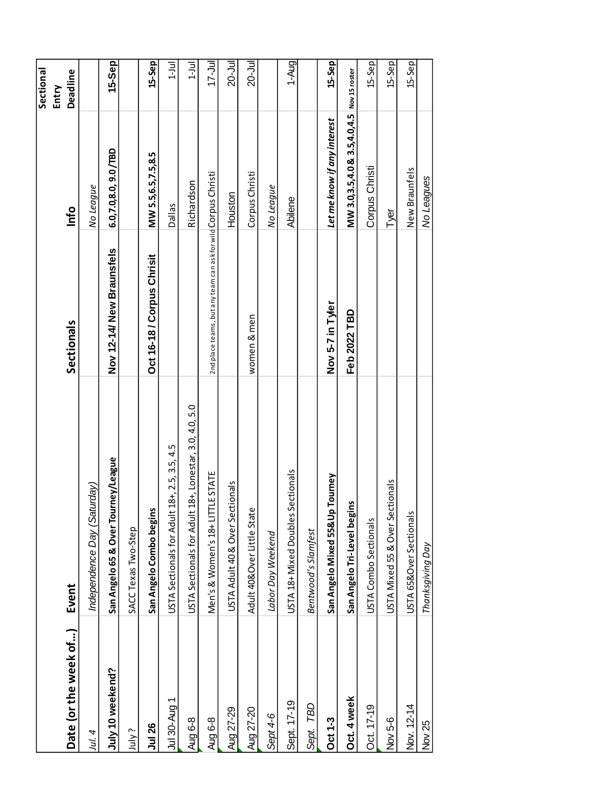|                       |                                                           |                                                               |                                            | Sectional<br>Entry |
|-----------------------|-----------------------------------------------------------|---------------------------------------------------------------|--------------------------------------------|--------------------|
| Date (or the week of) | Event                                                     | Sectionals                                                    | Info                                       | Deadline           |
| Jul. 4                | Independence Day (Saturday)                               |                                                               | No League                                  |                    |
| July 10 weekend?      | San Angelo 65 & Over Tourney/League                       | Nov 12-14/ New Braunsfels                                     | 6.0,7.0,8.0, 9.0 /TBD                      | <b>15-Sep</b>      |
| July?                 | SACC Texas Two-Step                                       |                                                               |                                            |                    |
| <b>Jul 26</b>         | San Angelo Combo begins                                   | Oct 16-18 / Corpus Chrisit                                    | MW 5.5,6.5,7.5,8.5                         | 15-Sep             |
| Jul 30-Aug 1          | $18+$ , 2.5, 3.5, 4.5<br>USTA Sectionals for Adult        |                                                               | <b>Dallas</b>                              | $1 - J$ ul         |
| Aug 6-8               | 18+, Lonestar, 3.0, 4.0, 5.0<br>USTA Sectionals for Adult |                                                               | Richardson                                 | $1 - J$ ul         |
| Aug 6-8               | <b>TLE STATE</b><br>Men's & Women's 18+ LIT               | 2nd place teams, but any team can ask for wild Corpus Christi |                                            | $17 -$ Jul         |
| Aug 27-29             | USTA Adult 40 & Over Sectionals                           |                                                               | Houston                                    | 20-Jul             |
| Aug 27-20             | Adult 40&Over Little State                                | women & men                                                   | Corpus Christi                             | $20 -$ Jul         |
| Sept 4-6              | Labor Day Weekend                                         |                                                               | No League                                  |                    |
| Sept. 17-19           | Sectionals<br>USTA 18+ Mixed Doubles                      |                                                               | Abilene                                    | $1-$ Aug           |
| Sept. TBD             | Bentwood's Slamfest                                       |                                                               |                                            |                    |
| <b>Oct 1-3</b>        | Tourney<br>San Angelo Mixed 55& Up                        | Nov 5-7 in Tyler                                              | Let me know if any interest                | 15-Sep             |
| Oct. 4 week           | Su<br>San Angelo Tri-Level begi                           | Feb 2022 TBD                                                  | MW 3.0,3.5,4.0 & 3.5,4.0,4.5 Nov 15 roster |                    |
| Oct. 17-19            | USTA Combo Sectionals                                     |                                                               | Corpus Christi                             | 15-Sep             |
| Nov 5-6               | USTA Mixed 55 & Over Sectionals                           |                                                               | Tyer                                       | 15-Sep             |
| Nov. 12-14            | USTA 65&Over Sectionals                                   |                                                               | New Braunfels                              | $15-$ Sep          |
| Nov 25                | Thanksgiving Day                                          |                                                               | No Leagues                                 |                    |
|                       |                                                           |                                                               |                                            |                    |